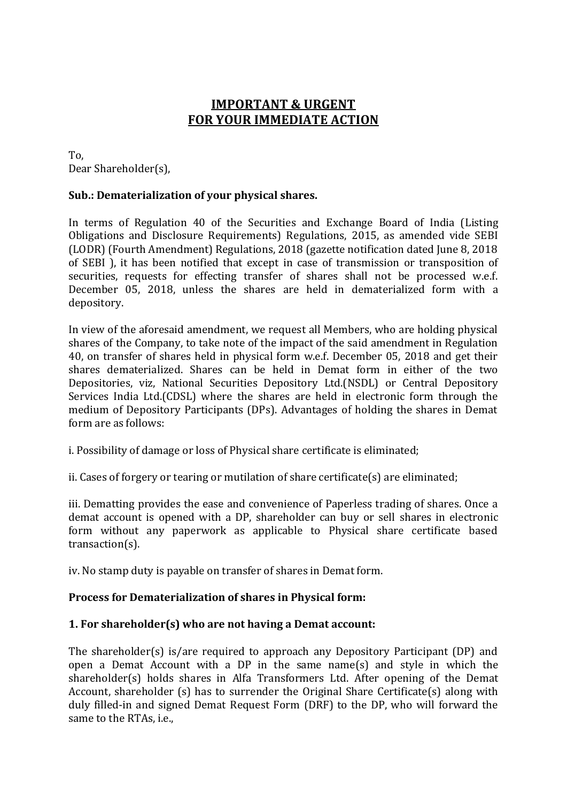# **IMPORTANT & URGENT FOR YOUR IMMEDIATE ACTION**

To, Dear Shareholder(s),

## **Sub.: Dematerialization of your physical shares.**

In terms of Regulation 40 of the Securities and Exchange Board of India (Listing Obligations and Disclosure Requirements) Regulations, 2015, as amended vide SEBI (LODR) (Fourth Amendment) Regulations, 2018 (gazette notification dated June 8, 2018 of SEBI ), it has been notified that except in case of transmission or transposition of securities, requests for effecting transfer of shares shall not be processed w.e.f. December 05, 2018, unless the shares are held in dematerialized form with a depository.

In view of the aforesaid amendment, we request all Members, who are holding physical shares of the Company, to take note of the impact of the said amendment in Regulation 40, on transfer of shares held in physical form w.e.f. December 05, 2018 and get their shares dematerialized. Shares can be held in Demat form in either of the two Depositories, viz, National Securities Depository Ltd.(NSDL) or Central Depository Services India Ltd.(CDSL) where the shares are held in electronic form through the medium of Depository Participants (DPs). Advantages of holding the shares in Demat form are as follows:

i. Possibility of damage or loss of Physical share certificate is eliminated;

ii. Cases of forgery or tearing or mutilation of share certificate(s) are eliminated;

iii. Dematting provides the ease and convenience of Paperless trading of shares. Once a demat account is opened with a DP, shareholder can buy or sell shares in electronic form without any paperwork as applicable to Physical share certificate based transaction(s).

iv. No stamp duty is payable on transfer of shares in Demat form.

### **Process for Dematerialization of shares in Physical form:**

### **1. For shareholder(s) who are not having a Demat account:**

The shareholder(s) is/are required to approach any Depository Participant (DP) and open a Demat Account with a DP in the same name(s) and style in which the shareholder(s) holds shares in Alfa Transformers Ltd. After opening of the Demat Account, shareholder (s) has to surrender the Original Share Certificate(s) along with duly filled-in and signed Demat Request Form (DRF) to the DP, who will forward the same to the RTAs, i.e.,